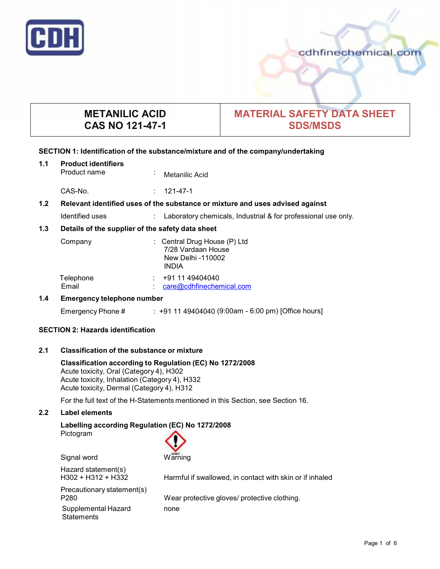

# **METANILIC ACID CAS NO 121-47-1**

# **MATERIAL SAFETY DATA SHEET SDS/MSDS**

# **SECTION 1: Identification of the substance/mixture and of the company/undertaking**

**1.1 Product identifiers Metanilic Acid** 

CAS-No. : 121-47-1

# **1.2 Relevant identified uses of the substance ormixture and uses advised against**

Identified uses : Laboratory chemicals, Industrial & for professional use only.

# **1.3 Details of the supplier of the safety data sheet**

| Company            | : Central Drug House $(P)$ Ltd<br>7/28 Vardaan House<br>New Delhi -110002<br><b>INDIA</b> |
|--------------------|-------------------------------------------------------------------------------------------|
| Telephone<br>Email | +91 11 49404040<br>care@cdhfinechemical.com                                               |

# **1.4 Emergency telephone number**

Emergency Phone # : +91 11 49404040 (9:00am - 6:00 pm) [Office hours]

# **SECTION 2: Hazards identification**

# **2.1 Classification of the substance ormixture**

**Classification according to Regulation (EC) No 1272/2008** Acute toxicity, Oral (Category 4), H302 Acute toxicity, Inhalation (Category 4), H332 Acute toxicity, Dermal (Category 4), H312

For the full text of the H-Statements mentioned in this Section, see Section 16.

# **2.2 Label elements**

#### **Labelling according Regulation (EC) No 1272/2008** Pictogram

Signal word Warning Hazard statement(s)<br>H302 + H312 + H332 Harmful if swallowed, in contact with skin or if inhaled Precautionary statement(s) P280 Wear protective gloves/ protective clothing. Supplemental Hazard none **Statements**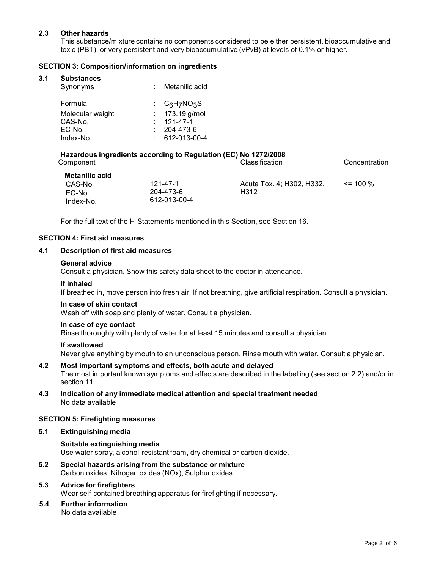# **2.3 Other hazards**

This substance/mixture contains no components considered to be either persistent, bioaccumulative and toxic (PBT), or very persistent and very bioaccumulative (vPvB) at levels of 0.1% or higher.

# **SECTION 3: Composition/information on ingredients**

#### **3.1 Substances**

| Synonyms         | Metanilic acid   |
|------------------|------------------|
| Formula          | : $C_6H_7NO_3S$  |
| Molecular weight | : $173.19$ g/mol |
| CAS-No.          | $: 121 - 47 - 1$ |
| EC-No.           | 204-473-6        |
| Index-No.        | 612-013-00-4     |

#### **Hazardous ingredients according to Regulation (EC) No 1272/2008** Component Component Component Component Component Component Component Component Component Component Component Component Component Component Component Component Component Component Component Component Component Component Co

| Metanilic acid |              |                           |              |
|----------------|--------------|---------------------------|--------------|
| CAS-No.        | 121-47-1     | Acute Tox. 4: H302. H332. | $\leq$ 100 % |
| EC-No.         | 204-473-6    | H312                      |              |
| Index-No.      | 612-013-00-4 |                           |              |

For the full text of the H-Statements mentioned in this Section, see Section 16.

#### **SECTION 4: First aid measures**

#### **4.1 Description of first aid measures**

#### **General advice**

Consult a physician. Show this safety data sheet to the doctor in attendance.

#### **If inhaled**

If breathed in, move person into fresh air. If not breathing, give artificial respiration. Consult a physician.

#### **In case of skin contact**

Wash off with soap and plenty of water. Consult a physician.

#### **In case of eye contact**

Rinse thoroughly with plenty of water for at least 15 minutes and consult a physician.

#### **If swallowed**

Never give anything by mouth to an unconscious person. Rinse mouth with water. Consult a physician.

# **4.2 Most important symptoms and effects, both acute and delayed**

The most important known symptoms and effects are described in the labelling (see section 2.2) and/or in section 11

**4.3 Indication of any immediate medical attention and special treatment needed** No data available

# **SECTION 5: Firefighting measures**

# **5.1 Extinguishing media**

**Suitable extinguishing media** Use water spray, alcohol-resistant foam, dry chemical or carbon dioxide.

**5.2 Special hazards arising from the substance ormixture** Carbon oxides, Nitrogen oxides (NOx), Sulphur oxides

# **5.3 Advice for firefighters**

Wear self-contained breathing apparatus for firefighting if necessary.

**5.4 Further information** No data available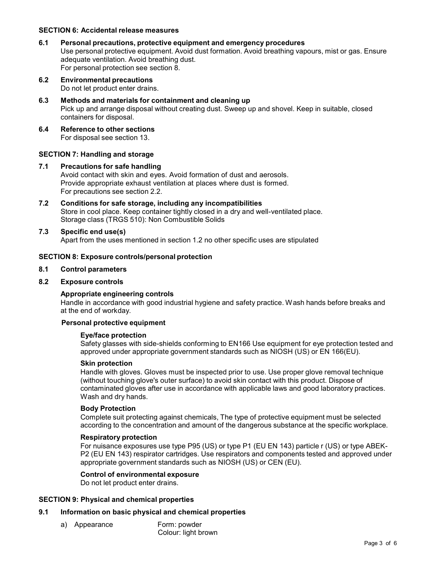### **SECTION 6: Accidental release measures**

# **6.1 Personal precautions, protective equipment and emergency procedures**

Use personal protective equipment. Avoid dust formation. Avoid breathing vapours, mist or gas. Ensure adequate ventilation. Avoid breathing dust. For personal protection see section 8.

- **6.2 Environmental precautions** Do not let product enter drains.
- **6.3 Methods and materials for containment and cleaning up** Pick up and arrange disposal without creating dust. Sweep up and shovel. Keep in suitable, closed containers for disposal.
- **6.4 Reference to other sections** For disposal see section 13.

#### **SECTION 7: Handling and storage**

#### **7.1 Precautions for safe handling** Avoid contact with skin and eyes. Avoid formation of dust and aerosols. Provide appropriate exhaust ventilation at places where dust is formed. For precautions see section 2.2.

**7.2 Conditions for safe storage, including any incompatibilities** Store in cool place. Keep container tightly closed in a dry and well-ventilated place. Storage class (TRGS 510): Non Combustible Solids

#### **7.3 Specific end use(s)**

Apart from the uses mentioned in section 1.2 no other specific uses are stipulated

#### **SECTION 8: Exposure controls/personal protection**

**8.1 Control parameters**

#### **8.2 Exposure controls**

# **Appropriate engineering controls**

Handle in accordance with good industrial hygiene and safety practice. Wash hands before breaks and at the end of workday.

#### **Personal protective equipment**

#### **Eye/face protection**

Safety glasses with side-shields conforming to EN166 Use equipment for eye protection tested and approved under appropriate government standards such as NIOSH (US) or EN 166(EU).

#### **Skin protection**

Handle with gloves. Gloves must be inspected prior to use. Use proper glove removal technique (without touching glove's outer surface) to avoid skin contact with this product. Dispose of contaminated gloves after use in accordance with applicable laws and good laboratory practices. Wash and dry hands.

#### **Body Protection**

Complete suit protecting against chemicals, The type of protective equipment must be selected according to the concentration and amount of the dangerous substance at the specific workplace.

#### **Respiratory protection**

For nuisance exposures use type P95 (US) or type P1 (EU EN 143) particle r (US) or type ABEK- P2 (EU EN 143) respirator cartridges. Use respirators and components tested and approved under appropriate government standards such as NIOSH (US) or CEN (EU).

# **Control of environmental exposure**

Do not let product enter drains.

#### **SECTION 9: Physical and chemical properties**

# **9.1 Information on basic physical and chemical properties**

- a) Appearance Form: powder
- Colour: light brown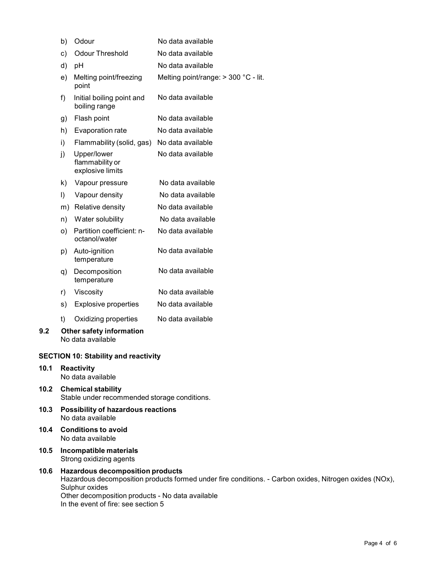|                                             | b)      | Odour                                                | No data available                      |
|---------------------------------------------|---------|------------------------------------------------------|----------------------------------------|
|                                             | c)      | Odour Threshold                                      | No data available                      |
|                                             | d)      | pH                                                   | No data available                      |
|                                             | e)      | Melting point/freezing<br>point                      | Melting point/range: $>$ 300 °C - lit. |
|                                             | f)      | Initial boiling point and<br>boiling range           | No data available                      |
|                                             | g)      | Flash point                                          | No data available                      |
|                                             | h)      | Evaporation rate                                     | No data available                      |
|                                             | i)      | Flammability (solid, gas)                            | No data available                      |
|                                             | i)      | Upper/lower<br>flammability or<br>explosive limits   | No data available                      |
|                                             | k)      | Vapour pressure                                      | No data available                      |
|                                             | $\vert$ | Vapour density                                       | No data available                      |
|                                             |         | m) Relative density                                  | No data available                      |
|                                             | n)      | Water solubility                                     | No data available                      |
|                                             | o)      | Partition coefficient: n-<br>octanol/water           | No data available                      |
|                                             | p)      | Auto-ignition<br>temperature                         | No data available                      |
|                                             | q)      | Decomposition<br>temperature                         | No data available                      |
|                                             | r)      | Viscosity                                            | No data available                      |
|                                             | s)      | <b>Explosive properties</b>                          | No data available                      |
|                                             | t)      | Oxidizing properties                                 | No data available                      |
| 9.2                                         |         | <b>Other safety information</b><br>No data available |                                        |
| <b>SECTION 10: Stability and reactivity</b> |         |                                                      |                                        |
| 10.1                                        |         | <b>Reactivity</b><br>No data available               |                                        |

- **10.2 Chemical stability** Stable under recommended storage conditions.
- **10.3 Possibility of hazardous reactions** No data available
- **10.4 Conditions to avoid** No data available

- **10.5 Incompatible materials** Strong oxidizing agents
- **10.6 Hazardous decomposition products** Hazardous decomposition products formed under fire conditions. - Carbon oxides, Nitrogen oxides (NOx), Sulphur oxides Other decomposition products - No data available In the event of fire: see section 5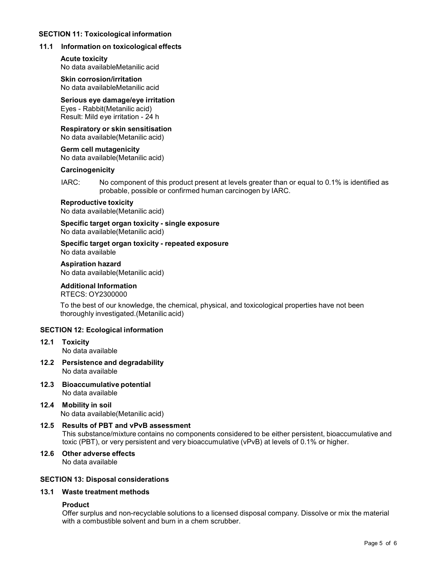# **SECTION 11: Toxicological information**

### **11.1 Information on toxicological effects**

**Acute toxicity** No data availableMetanilic acid

**Skin corrosion/irritation** No data availableMetanilic acid

**Serious eye damage/eye irritation** Eyes - Rabbit(Metanilic acid) Result: Mild eye irritation - 24 h

**Respiratory orskin sensitisation** No data available(Metanilic acid)

**Germ cell mutagenicity** No data available(Metanilic acid)

#### **Carcinogenicity**

IARC: No component of this product present at levels greater than or equal to 0.1% is identified as probable, possible or confirmed human carcinogen by IARC.

#### **Reproductive toxicity**

No data available(Metanilic acid)

**Specific target organ toxicity - single exposure** No data available(Metanilic acid)

**Specific target organ toxicity - repeated exposure** No data available

**Aspiration hazard** No data available(Metanilic acid)

# **Additional Information**

RTECS: OY2300000

To the best of our knowledge, the chemical, physical, and toxicological properties have not been thoroughly investigated.(Metanilic acid)

# **SECTION 12: Ecological information**

**12.1 Toxicity**

No data available

- **12.2 Persistence and degradability** No data available
- **12.3 Bioaccumulative potential** No data available
- **12.4 Mobility in soil** No data available(Metanilic acid)
- **12.5 Results of PBT and vPvB assessment** This substance/mixture contains no components considered to be either persistent, bioaccumulative and toxic (PBT), or very persistent and very bioaccumulative (vPvB) at levels of 0.1% or higher.
- **12.6 Other adverse effects** No data available

# **SECTION 13: Disposal considerations**

# **13.1 Waste treatment methods**

# **Product**

Offer surplus and non-recyclable solutions to a licensed disposal company. Dissolve or mix the material with a combustible solvent and burn in a chem scrubber.